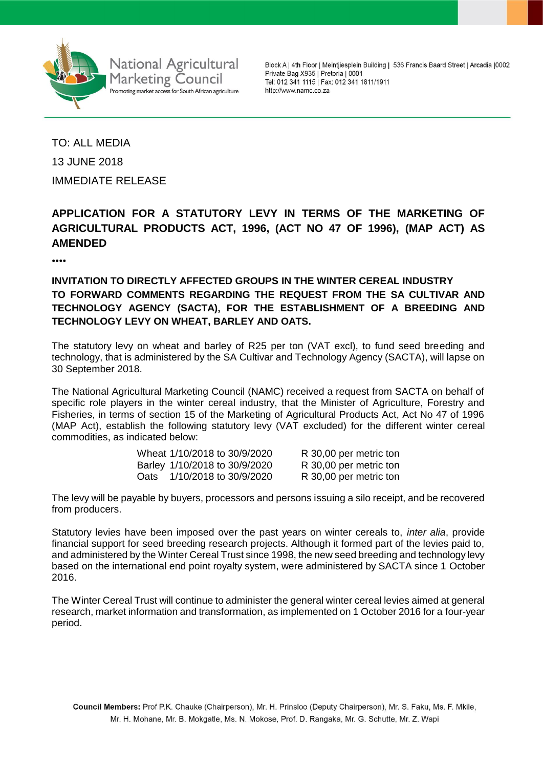

**National Agricultural Marketing Council** Promoting market access for South African agriculture

Block A | 4th Floor | Meintjiesplein Building | 536 Francis Baard Street | Arcadia | 0002 Private Bag X935 | Pretoria | 0001 Tel: 012 341 1115 | Fax: 012 341 1811/1911 http://www.namc.co.za

TO: ALL MEDIA 13 JUNE 2018 IMMEDIATE RELEASE

# **APPLICATION FOR A STATUTORY LEVY IN TERMS OF THE MARKETING OF AGRICULTURAL PRODUCTS ACT, 1996, (ACT NO 47 OF 1996), (MAP ACT) AS AMENDED**

⦁⦁⦁⦁

# **INVITATION TO DIRECTLY AFFECTED GROUPS IN THE WINTER CEREAL INDUSTRY TO FORWARD COMMENTS REGARDING THE REQUEST FROM THE SA CULTIVAR AND TECHNOLOGY AGENCY (SACTA), FOR THE ESTABLISHMENT OF A BREEDING AND TECHNOLOGY LEVY ON WHEAT, BARLEY AND OATS.**

The statutory levy on wheat and barley of R25 per ton (VAT excl), to fund seed breeding and technology, that is administered by the SA Cultivar and Technology Agency (SACTA), will lapse on 30 September 2018.

The National Agricultural Marketing Council (NAMC) received a request from SACTA on behalf of specific role players in the winter cereal industry, that the Minister of Agriculture, Forestry and Fisheries, in terms of section 15 of the Marketing of Agricultural Products Act, Act No 47 of 1996 (MAP Act), establish the following statutory levy (VAT excluded) for the different winter cereal commodities, as indicated below:

|      | Wheat 1/10/2018 to 30/9/2020  | R 30,00 per metric ton |
|------|-------------------------------|------------------------|
|      | Barley 1/10/2018 to 30/9/2020 | R 30,00 per metric ton |
| Oats | 1/10/2018 to 30/9/2020        | R 30,00 per metric ton |

The levy will be payable by buyers, processors and persons issuing a silo receipt, and be recovered from producers.

Statutory levies have been imposed over the past years on winter cereals to, *inter alia*, provide financial support for seed breeding research projects. Although it formed part of the levies paid to, and administered by the Winter Cereal Trust since 1998, the new seed breeding and technology levy based on the international end point royalty system, were administered by SACTA since 1 October 2016.

The Winter Cereal Trust will continue to administer the general winter cereal levies aimed at general research, market information and transformation, as implemented on 1 October 2016 for a four-year period.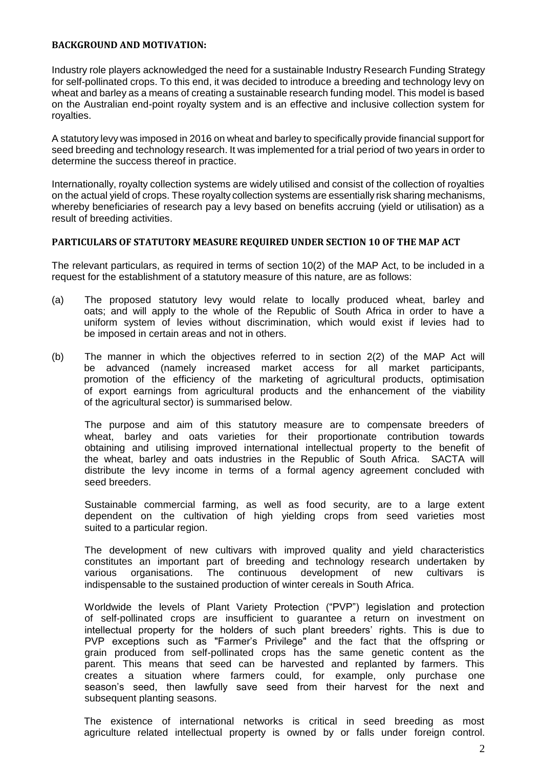#### **BACKGROUND AND MOTIVATION:**

Industry role players acknowledged the need for a sustainable Industry Research Funding Strategy for self-pollinated crops. To this end, it was decided to introduce a breeding and technology levy on wheat and barley as a means of creating a sustainable research funding model. This model is based on the Australian end-point royalty system and is an effective and inclusive collection system for royalties.

A statutory levy was imposed in 2016 on wheat and barley to specifically provide financial support for seed breeding and technology research. It was implemented for a trial period of two years in order to determine the success thereof in practice.

Internationally, royalty collection systems are widely utilised and consist of the collection of royalties on the actual yield of crops. These royalty collection systems are essentially risk sharing mechanisms, whereby beneficiaries of research pay a levy based on benefits accruing (yield or utilisation) as a result of breeding activities.

## **PARTICULARS OF STATUTORY MEASURE REQUIRED UNDER SECTION 10 OF THE MAP ACT**

The relevant particulars, as required in terms of section 10(2) of the MAP Act, to be included in a request for the establishment of a statutory measure of this nature, are as follows:

- (a) The proposed statutory levy would relate to locally produced wheat, barley and oats; and will apply to the whole of the Republic of South Africa in order to have a uniform system of levies without discrimination, which would exist if levies had to be imposed in certain areas and not in others.
- (b) The manner in which the objectives referred to in section 2(2) of the MAP Act will be advanced (namely increased market access for all market participants, promotion of the efficiency of the marketing of agricultural products, optimisation of export earnings from agricultural products and the enhancement of the viability of the agricultural sector) is summarised below.

The purpose and aim of this statutory measure are to compensate breeders of wheat, barley and oats varieties for their proportionate contribution towards obtaining and utilising improved international intellectual property to the benefit of the wheat, barley and oats industries in the Republic of South Africa. SACTA will distribute the levy income in terms of a formal agency agreement concluded with seed breeders.

Sustainable commercial farming, as well as food security, are to a large extent dependent on the cultivation of high yielding crops from seed varieties most suited to a particular region.

The development of new cultivars with improved quality and yield characteristics constitutes an important part of breeding and technology research undertaken by various organisations. The continuous development of new cultivars is indispensable to the sustained production of winter cereals in South Africa.

Worldwide the levels of Plant Variety Protection ("PVP") legislation and protection of self-pollinated crops are insufficient to guarantee a return on investment on intellectual property for the holders of such plant breeders' rights. This is due to PVP exceptions such as "Farmer's Privilege" and the fact that the offspring or grain produced from self-pollinated crops has the same genetic content as the parent. This means that seed can be harvested and replanted by farmers. This creates a situation where farmers could, for example, only purchase one season's seed, then lawfully save seed from their harvest for the next and subsequent planting seasons.

The existence of international networks is critical in seed breeding as most agriculture related intellectual property is owned by or falls under foreign control.